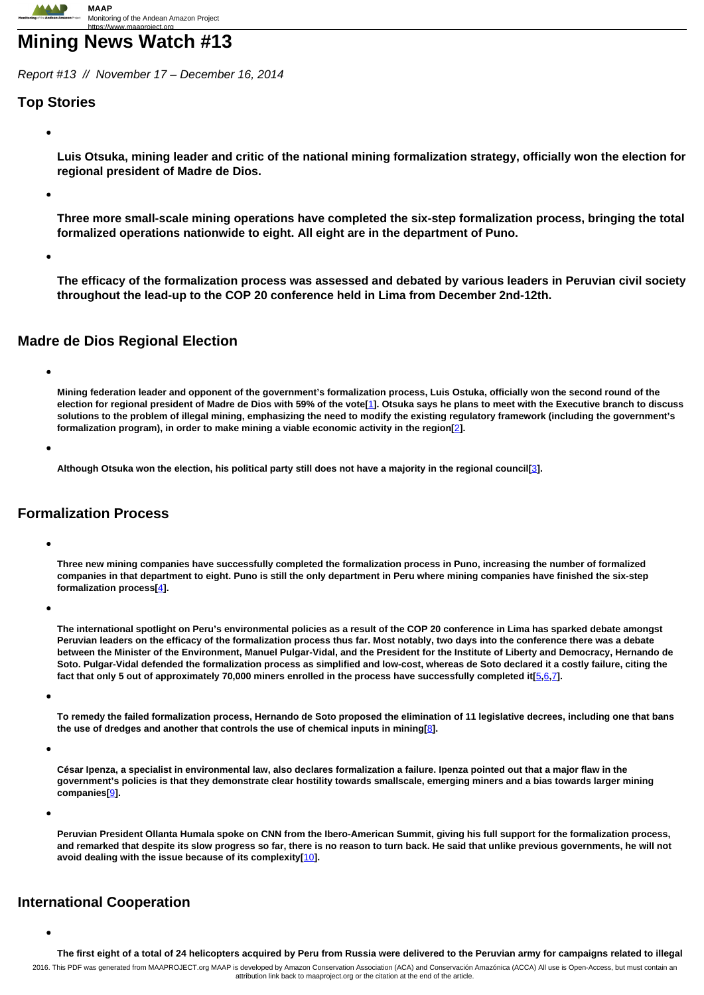# **Mining News Watch #13**

Report #13 // November 17 – December 16, 2014

# **Top Stories**

**Luis Otsuka, mining leader and critic of the national mining formalization strategy, officially won the election for regional president of Madre de Dios.**

**Three more small-scale mining operations have completed the six-step formalization process, bringing the total formalized operations nationwide to eight. All eight are in the department of Puno.**

**The efficacy of the formalization process was assessed and debated by various leaders in Peruvian civil society throughout the lead-up to the COP 20 conference held in Lima from December 2nd-12th.**

#### **Madre de Dios Regional Election**

**Mining federation leader and opponent of the government's formalization process, Luis Ostuka, officially won the second round of the election for regional president of Madre de Dios with 59% of the vote[**[1](http://www.actualidadambiental.pe/?p=27249)**]. Otsuka says he plans to meet with the Executive branch to discuss solutions to the problem of illegal mining, emphasizing the need to modify the existing regulatory framework (including the government's formalization program), in order to make mining a viable economic activity in the region[**2**].**

**Although Otsuka won the election, his political party still does not have a majority in the regional council[**3**].**

# **Formalization Process**

**Three new mining companies have successfully completed the formalization process in Puno, increasing the number of formalized companies in that department to eight. Puno is still the only department in Peru where mining companies have finished the six-step formalization process[**4**].**

**The international spotlight on Peru's environmental policies as a result of the COP 20 conference in Lima has sparked debate amongst Peruvian leaders on the efficacy of the formalization process thus far. Most notably, two days into the conference there was a debate between the Minister of the Environment, Manuel Pulgar-Vidal, and the President for the Institute of Liberty and Democracy, Hernando de Soto. Pulgar-Vidal defended the formalization process as simplified and low-cost, whereas de Soto declared it a costly failure, citing the fact that only 5 out of approximately 70,000 miners enrolled in the process have successfully completed it[**5**,**6**,**7**].**

**To remedy the failed formalization process, Hernando de Soto proposed the elimination of 11 legislative decrees, including one that bans the use of dredges and another that controls the use of chemical inputs in mining[**8**].**

- **César Ipenza, a specialist in environmental law, also declares formalization a failure. Ipenza pointed out that a major flaw in the government's policies is that they demonstrate clear hostility towards smallscale, emerging miners and a bias towards larger mining companies[**9**].**
- **Peruvian President Ollanta Humala spoke on CNN from the Ibero-American Summit, giving his full support for the formalization process, and remarked that despite its slow progress so far, there is no reason to turn back. He said that unlike previous governments, he will not avoid dealing with the issue because of its complexity[**10**].**

# **International Cooperation**

**The first eight of a total of 24 helicopters acquired by Peru from Russia were delivered to the Peruvian army for campaigns related to illegal**